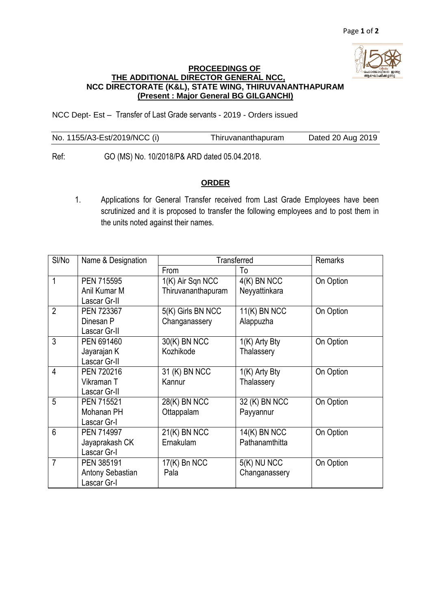

## **PROCEEDINGS OF THE ADDITIONAL DIRECTOR GENERAL NCC, NCC DIRECTORATE (K&L), STATE WING, THIRUVANANTHAPURAM (Present : Major General BG GILGANCHI)**

NCC Dept- Est – Transfer of Last Grade servants - 2019 - Orders issued

| No. 1155/A3-Est/2019/NCC (i) | Thiruvananthapuram | Dated 20 Aug 2019 |
|------------------------------|--------------------|-------------------|
|                              |                    |                   |

Ref: GO (MS) No. 10/2018/P& ARD dated 05.04.2018.

## **ORDER**

1. Applications for General Transfer received from Last Grade Employees have been scrutinized and it is proposed to transfer the following employees and to post them in the units noted against their names.

| SI/No          | Name & Designation | Transferred                |                 | <b>Remarks</b> |
|----------------|--------------------|----------------------------|-----------------|----------------|
|                |                    | From                       | To              |                |
| 1              | PEN 715595         | 1(K) Air Sqn NCC           | $4(K)$ BN NCC   | On Option      |
|                | Anil Kumar M       | Thiruvananthapuram         | Neyyattinkara   |                |
|                | Lascar Gr-II       |                            |                 |                |
| $\overline{2}$ | PEN 723367         | 5(K) Girls BN NCC          | $11(K)$ BN NCC  | On Option      |
|                | Dinesan P          | Changanassery              | Alappuzha       |                |
|                | Lascar Gr-II       |                            |                 |                |
| 3              | PEN 691460         | 30(K) BN NCC               | 1(K) Arty Bty   | On Option      |
|                | Jayarajan K        | Kozhikode                  | Thalassery      |                |
|                | Lascar Gr-II       |                            |                 |                |
| $\overline{4}$ | PEN 720216         | 31 (K) BN NCC              | $1(K)$ Arty Bty | On Option      |
|                | Vikraman T         | Kannur                     | Thalassery      |                |
|                | Lascar Gr-II       |                            |                 |                |
| 5              | PEN 715521         | $\overline{28}$ (K) BN NCC | 32 (K) BN NCC   | On Option      |
|                | Mohanan PH         | Ottappalam                 | Payyannur       |                |
|                | Lascar Gr-I        |                            |                 |                |
| $6\phantom{1}$ | PEN 714997         | $21(K)$ BN NCC             | 14(K) BN NCC    | On Option      |
|                | Jayaprakash CK     | Ernakulam                  | Pathanamthitta  |                |
|                | Lascar Gr-I        |                            |                 |                |
| $\overline{7}$ | PEN 385191         | 17(K) Bn NCC               | 5(K) NU NCC     | On Option      |
|                | Antony Sebastian   | Pala                       | Changanassery   |                |
|                | Lascar Gr-I        |                            |                 |                |